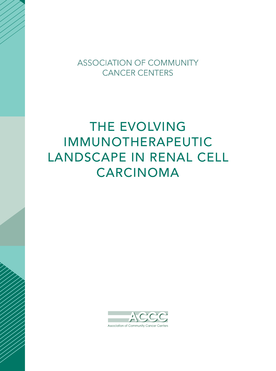**ASSOCIATION OF COMMUNITY CANCER CENTERS** 

## THE EVOLVING IMMUNOTHERAPEUTIC LANDSCAPE IN RENAL CELL CARCINOMA

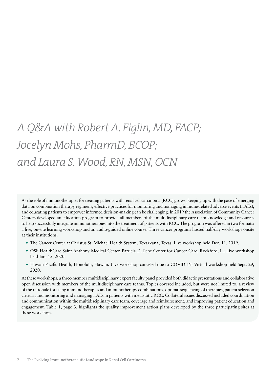## *A Q&A with Robert A. Figlin, MD, FACP; Jocelyn Mohs, PharmD, BCOP; and Laura S. Wood, RN, MSN, OCN*

As the role of immunotherapies for treating patients with renal cell carcinoma (RCC) grows, keeping up with the pace of emerging data on combination therapy regimens, effective practices for monitoring and managing immune-related adverse events (irAEs), and educating patients to empower informed decision-making can be challenging. In 2019 the Association of Community Cancer Centers developed an education program to provide all members of the multidisciplinary care team knowledge and resources to help successfully integrate immunotherapies into the treatment of patients with RCC. The program was offered in two formats: a live, on-site learning workshop and an audio-guided online course. Three cancer programs hosted half-day workshops onsite at their institutions:

- The Cancer Center at Christus St. Michael Health System, Texarkana, Texas. Live workshop held Dec. 11, 2019.
- OSF HealthCare Saint Anthony Medical Center, Patricia D. Pepe Center for Cancer Care, Rockford, Ill. Live workshop held Jan. 15, 2020.
- Hawaii Pacific Health, Honolulu, Hawaii. Live workshop canceled due to COVID-19. Virtual workshop held Sept. 29, 2020.

At these workshops, a three-member multidisciplinary expert faculty panel provided both didactic presentations and collaborative open discussion with members of the multidisciplinary care teams. Topics covered included, but were not limited to, a review of the rationale for using immunotherapies and immunotherapy combinations, optimal sequencing of therapies, patient selection criteria, and monitoring and managing irAEs in patients with metastatic RCC. Collateral issues discussed included coordination and communication within the multidisciplinary care team, coverage and reimbursement, and improving patient education and engagement. Table 1, [page 3,](#page-2-0) highlights the quality improvement action plans developed by the three participating sites at these workshops.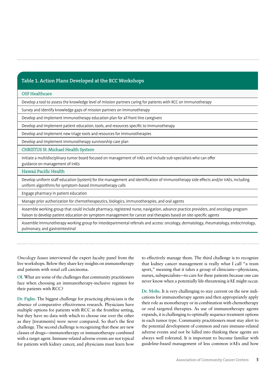## <span id="page-2-0"></span>**Table 1. Action Plans Developed at the RCC Workshops**

## OSF Healthcare

Develop a tool to assess the knowledge level of mission partners caring for patients with RCC on immunotherapy

Survey and identify knowledge gaps of mission partners on immunotherapy

Develop and implement immunotherapy education plan for all front-line caregivers

Develop and implement patient education, tools, and resources specific to immunotherapy

Develop and implement new triage tools and resources for immunotherapies

Develop and implement immunotherapy survivorship care plan

CHRISTUS St. Michael Health System

Initiate a multidisciplinary tumor board focused on management of irAEs and include sub-specialists who can offer guidance on management of irAEs

Hawaii Pacific Health

Develop uniform staff education (system) for the management and identification of immunotherapy side effects and/or irAEs, including uniform algorithms for symptom-based immunotherapy calls

Engage pharmacy in patient education

Manage prior authorization for chemotherapeutics, biologics, immunotherapies, and oral agents

Assemble working group that could include pharmacy, registered nurse, navigation, advance practice providers, and oncology program liaison to develop patient education on symptom management for cancer oral therapies based on site-specific agents

Assemble immunotherapy working group for interdepartmental referrals and access: oncology, dermatology, rheumatology, endocrinology, pulmonary, and gastrointestinal

*Oncology Issues* interviewed the expert faculty panel from the live workshops. Below they share key insights on immunotherapy and patients with renal cell carcinoma.

**OI.** What are some of the challenges that community practitioners face when choosing an immunotherapy-inclusive regimen for their patients with RCC?

**Dr. Figlin.** The biggest challenge for practicing physicians is the absence of comparative effectiveness research. Physicians have multiple options for patients with RCC in the frontline setting, but they have no data with which to choose one over the other as they [treatments] were never compared. So that's the first challenge. The second challenge is recognizing that these are new classes of drugs—immunotherapy or immunotherapy combined with a target agent. Immune-related adverse events are not typical for patients with kidney cancer, and physicians must learn how

to effectively manage them. The third challenge is to recognize that kidney cancer management is really what I call "a team sport," meaning that it takes a group of clinicians—physicians, nurses, subspecialists—to care for these patients because one can never know when a potentially life-threatening irAE might occur.

**Dr. Mohs.** It is very challenging to stay current on the new indications for immunotherapy agents and then appropriately apply their role as monotherapy or in combination with chemotherapy or oral targeted therapies. As use of immunotherapy agents expands, it is challenging to optimally sequence treatment options in each tumor type. Community practitioners must stay alert to the potential development of common and rare immune-related adverse events and not be lulled into thinking these agents are always well tolerated. It is important to become familiar with guideline-based management of less common irAEs and how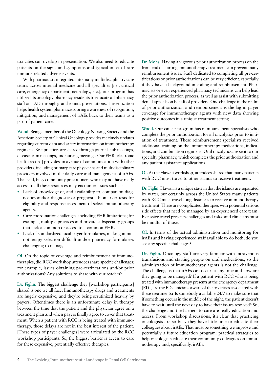toxicities can overlap in presentation. We also need to educate patients on the signs and symptoms and typical onset of rare immune-related adverse events.

With pharmacists integrated into many multidisciplinary care teams across internal medicine and all specialties [i.e., critical care, emergency department, neurology, etc.], our program has utilized its oncology pharmacy residents to educate all pharmacy staff on irAEs through grand rounds presentations. This education helps health system pharmacists bring awareness of recognition, mitigation, and management of irAEs back to their teams as a part of patient care.

**Wood**. Being a member of the Oncology Nursing Society and the American Society of Clinical Oncology provides me timely updates regarding current data and safety information on immunotherapy regimens. Best practices are shared through journal club meetings, disease team meetings, and nursing meetings. Our EHR [electronic health record] provides an avenue of communication with other providers, including primary care physicians and multidisciplinary providers involved in the daily care and management of irAEs. That said, busy community practitioners who may not have ready access to all these resources may encounter issues such as:

- Lack of knowledge of, and availability to, companion diagnostics and/or diagnostic or prognostic biomarker tests for eligibility and response assessment of select immunotherapy agents.
- Care coordination challenges, including EHR limitations; for example, multiple practices and private subspecialty groups that lack a common or access to a common EHR.
- Lack of standardized local payer formularies, making immunotherapy selection difficult and/or pharmacy formularies challenging to manage.

**OI.** On the topic of coverage and reimbursement of immunotherapies, did RCC workshop attendees share specific challenges; for example, issues obtaining pre-certifications and/or prior authorizations? Any solutions to share with our readers?

**Dr. Figlin.** The biggest challenge they [workshop participants] shared is one we all face: Immunotherapy drugs and treatments are hugely expensive, and they're being scrutinized heavily by payers. Oftentimes there is an unfortunate delay in therapy between the time that the patient and the physician agree on a treatment plan and when payers finally agree to cover that treatment. When a patient with RCC is being treated with immunotherapy, those delays are not in the best interest of the patient. [These types of payer challenges] were articulated by the RCC workshop participants. So, the biggest barrier is access to care for these expensive, potentially effective therapies.

**Dr. Mohs.** Having a vigorous prior authorization process on the front end of starting immunotherapy treatment can prevent many reimbursement issues. Staff dedicated to completing all pre-certifications or prior authorizations can be very efficient, especially if they have a background in coding and reimbursement. Pharmacists or even experienced pharmacy technicians can help lead the prior authorization process, as well as assist with submitting denial appeals on behalf of providers. One challenge in the realm of prior authorization and reimbursement is the lag in payer coverage for immunotherapy agents with new data showing positive outcomes in a unique treatment setting.

**Wood.** Our cancer program has reimbursement specialists who complete the prior authorization for all oncolytics prior to initiation of treatment. These reimbursement specialists received additional training on the immunotherapy medications, indications, and combination regimens. Oral oncolytics are sent to our specialty pharmacy, which completes the prior authorization and any patient assistance applications.

**OI.** At the Hawaii workshop, attendees shared that many patients with RCC must travel to other islands to receive treatment.

**Dr. Figlin.** Hawaii is a unique state in that the islands are separated by water, but certainly across the United States many patients with RCC must travel long distances to receive immunotherapy treatment. These are complicated therapies with potential serious side effects that need be managed by an experienced care team. Excessive travel presents challenges and risks, and clinicians must be mindful of those.

**OI.** In terms of the actual administration and monitoring for irAEs and having experienced staff available to do both, do you see any specific challenges?

**Dr. Figlin.** Oncology staff are very familiar with intravenous transfusions and starting people on oral medications, so the administration of immunotherapy agents is not the challenge. The challenge is that irAEs can occur at any time and how are they going to be managed? If a patient with RCC who is being treated with immunotherapy presents at the emergency department [ED], are the ED clinicians aware of the toxicities associated with these treatments? Is somebody available 24/7 to make sure that if something occurs in the middle of the night, the patient doesn't have to wait until the next day to have their issues resolved? So, the challenge and the barriers to care are really education and access. From workshop discussions, it's clear that practicing oncologists are so busy they have little time to educate their colleagues about irAEs. That must be something we improve and potentially a future education program: practical strategies to help oncologists educate their community colleagues on immunotherapy and, specifically, irAEs.